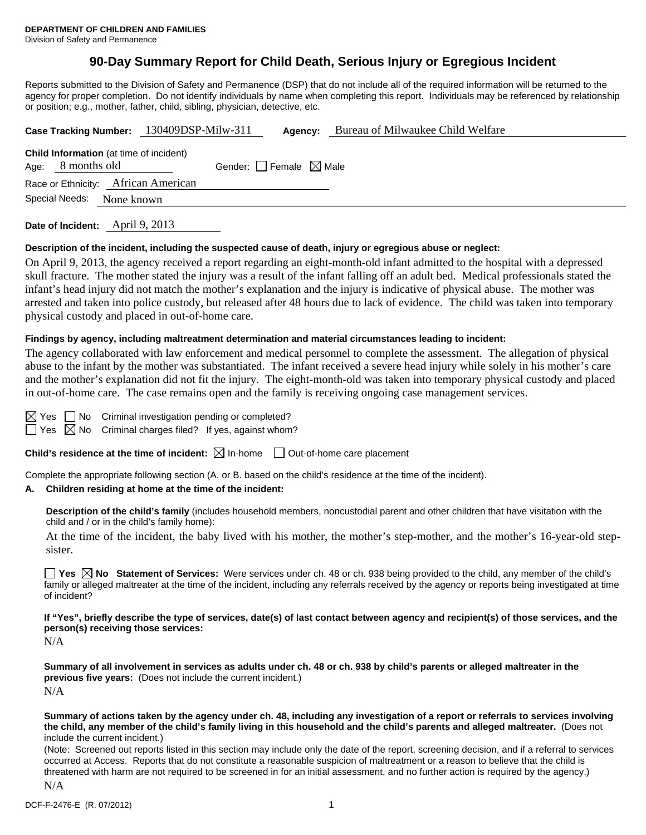## **90-Day Summary Report for Child Death, Serious Injury or Egregious Incident**

Reports submitted to the Division of Safety and Permanence (DSP) that do not include all of the required information will be returned to the agency for proper completion. Do not identify individuals by name when completing this report. Individuals may be referenced by relationship or position; e.g., mother, father, child, sibling, physician, detective, etc.

|                                 | Case Tracking Number: 130409DSP-Milw-311       |                                 | Agency: | Bureau of Milwaukee Child Welfare |
|---------------------------------|------------------------------------------------|---------------------------------|---------|-----------------------------------|
| Age: 8 months old               | <b>Child Information</b> (at time of incident) | Gender: Female $\boxtimes$ Male |         |                                   |
|                                 | Race or Ethnicity: African American            |                                 |         |                                   |
| Special Needs:                  | None known                                     |                                 |         |                                   |
| Date of Incident: April 9, 2013 |                                                |                                 |         |                                   |

### **Description of the incident, including the suspected cause of death, injury or egregious abuse or neglect:**

On April 9, 2013, the agency received a report regarding an eight-month-old infant admitted to the hospital with a depressed skull fracture. The mother stated the injury was a result of the infant falling off an adult bed. Medical professionals stated the infant's head injury did not match the mother's explanation and the injury is indicative of physical abuse. The mother was arrested and taken into police custody, but released after 48 hours due to lack of evidence. The child was taken into temporary physical custody and placed in out-of-home care.

### **Findings by agency, including maltreatment determination and material circumstances leading to incident:**

The agency collaborated with law enforcement and medical personnel to complete the assessment. The allegation of physical abuse to the infant by the mother was substantiated. The infant received a severe head injury while solely in his mother's care and the mother's explanation did not fit the injury. The eight-month-old was taken into temporary physical custody and placed in out-of-home care. The case remains open and the family is receiving ongoing case management services.

 $\Box$  No Criminal investigation pending or completed?

 $\Box$  Yes  $\boxtimes$  No Criminal charges filed? If yes, against whom?

**Child's residence at the time of incident:**  $\boxtimes$  In-home  $\Box$  Out-of-home care placement

Complete the appropriate following section (A. or B. based on the child's residence at the time of the incident).

#### **A. Children residing at home at the time of the incident:**

**Description of the child's family** (includes household members, noncustodial parent and other children that have visitation with the child and / or in the child's family home):

 At the time of the incident, the baby lived with his mother, the mother's step-mother, and the mother's 16-year-old stepsister.

**Yes**  $\boxtimes$  **No** Statement of Services: Were services under ch. 48 or ch. 938 being provided to the child, any member of the child's family or alleged maltreater at the time of the incident, including any referrals received by the agency or reports being investigated at time of incident?

**If "Yes", briefly describe the type of services, date(s) of last contact between agency and recipient(s) of those services, and the person(s) receiving those services:** 

N/A

**Summary of all involvement in services as adults under ch. 48 or ch. 938 by child's parents or alleged maltreater in the previous five years:** (Does not include the current incident.) N/A

**Summary of actions taken by the agency under ch. 48, including any investigation of a report or referrals to services involving the child, any member of the child's family living in this household and the child's parents and alleged maltreater.** (Does not include the current incident.)

(Note: Screened out reports listed in this section may include only the date of the report, screening decision, and if a referral to services occurred at Access. Reports that do not constitute a reasonable suspicion of maltreatment or a reason to believe that the child is threatened with harm are not required to be screened in for an initial assessment, and no further action is required by the agency.)

N/A